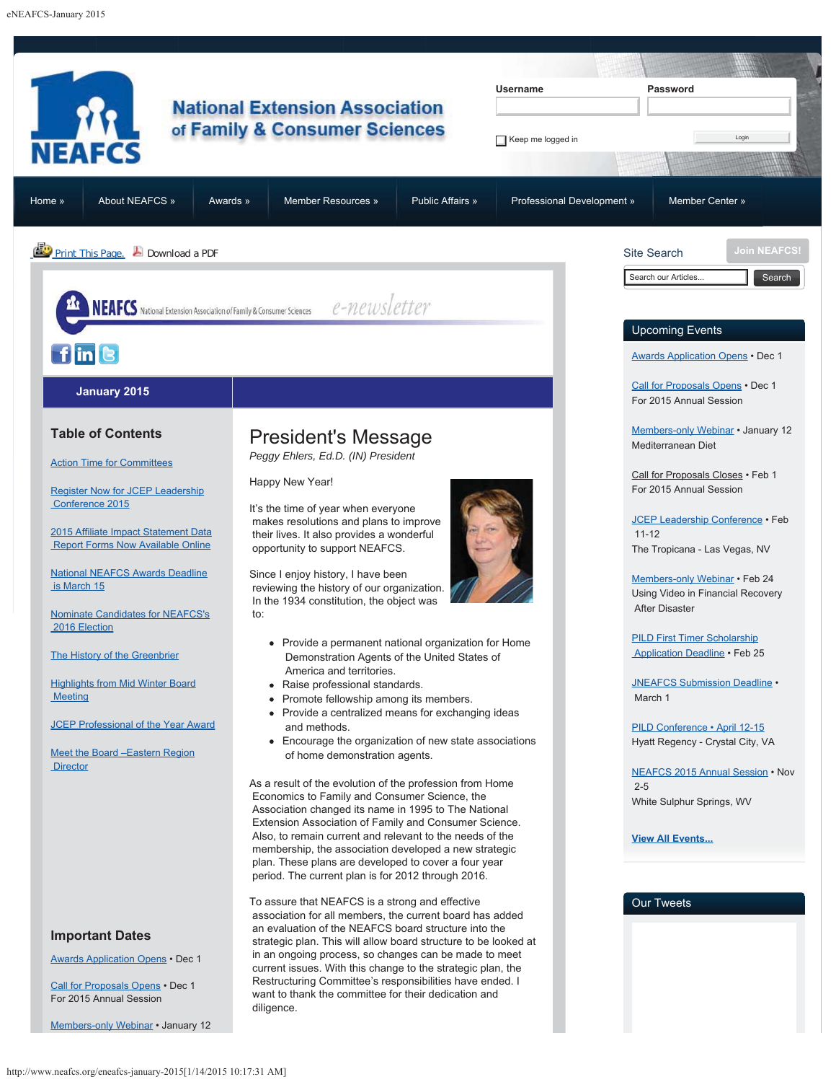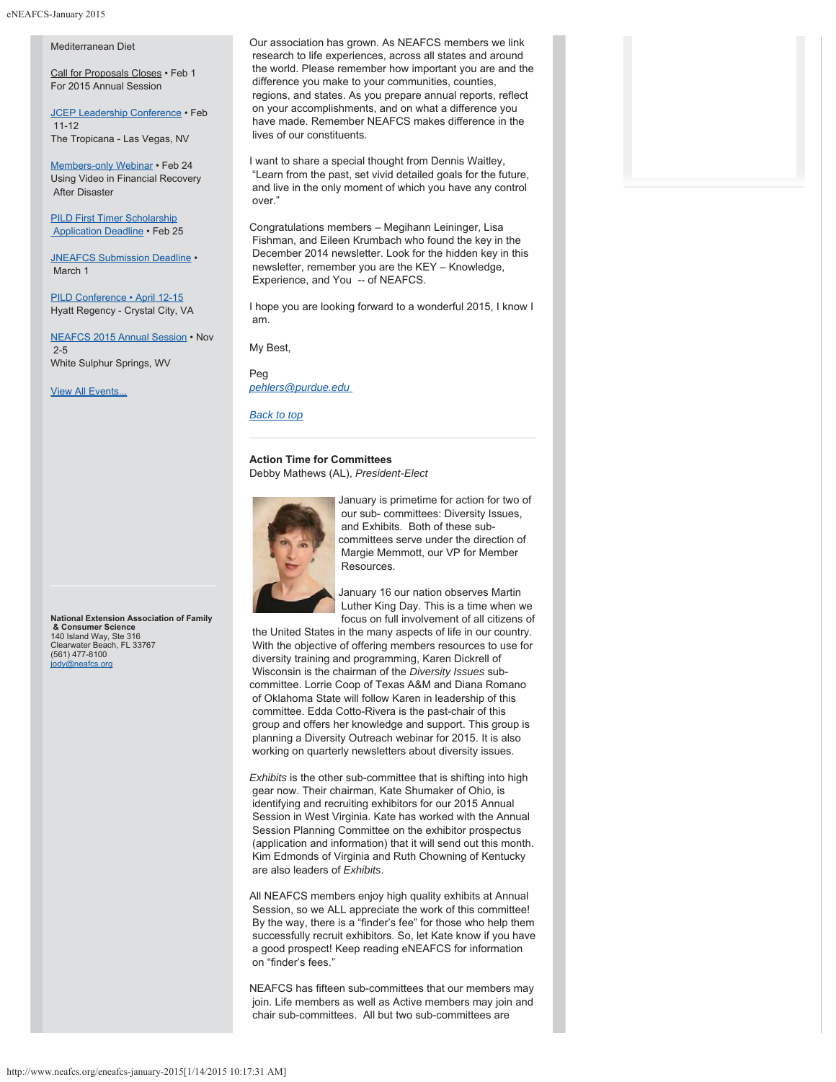#### Mediterranean Diet

Call for Proposals Closes • Feb 1 For 2015 Annual Session

JCEP Leadership Conference • Feb 11-12 The Tropicana - Las Vegas, NV

Members-only Webinar • Feb 24 Using Video in Financial Recovery After Disaster

**PILD First Timer Scholarship** Application Deadline • Feb 25

JNEAFCS Submission Deadline . March 1

PILD Conference • April 12-15 Hyatt Regency - Crystal City, VA

NEAFCS 2015 Annual Session • Nov 2-5 White Sulphur Springs, WV

View All Events...

**National Extension Association of Family & Consumer Science** 140 Island Way, Ste 316 Clearwater Beach, FL 33767 (561) 477-8100 jody@neafcs.org

Our association has grown. As NEAFCS members we link research to life experiences, across all states and around the world. Please remember how important you are and the difference you make to your communities, counties, regions, and states. As you prepare annual reports, reflect on your accomplishments, and on what a difference you have made. Remember NEAFCS makes difference in the lives of our constituents.

I want to share a special thought from Dennis Waitley, "Learn from the past, set vivid detailed goals for the future, and live in the only moment of which you have any control over."

Congratulations members – Megihann Leininger, Lisa Fishman, and Eileen Krumbach who found the key in the December 2014 newsletter. Look for the hidden key in this newsletter, remember you are the KEY – Knowledge, Experience, and You -- of NEAFCS.

I hope you are looking forward to a wonderful 2015, I know I am.

My Best,

Peg

# *pehlers@purdue.edu*

*Back to top*

# **Action Time for Committees** Debby Mathews (AL), *President-Elect*



January is primetime for action for two of our sub- committees: Diversity Issues, and Exhibits. Both of these subcommittees serve under the direction of Margie Memmott, our VP for Member Resources.

January 16 our nation observes Martin Luther King Day. This is a time when we

focus on full involvement of all citizens of the United States in the many aspects of life in our country. With the objective of offering members resources to use for diversity training and programming, Karen Dickrell of Wisconsin is the chairman of the *Diversity Issues* subcommittee. Lorrie Coop of Texas A&M and Diana Romano of Oklahoma State will follow Karen in leadership of this committee. Edda Cotto-Rivera is the past-chair of this group and offers her knowledge and support. This group is planning a Diversity Outreach webinar for 2015. It is also working on quarterly newsletters about diversity issues.

*Exhibits* is the other sub-committee that is shifting into high gear now. Their chairman, Kate Shumaker of Ohio, is identifying and recruiting exhibitors for our 2015 Annual Session in West Virginia. Kate has worked with the Annual Session Planning Committee on the exhibitor prospectus (application and information) that it will send out this month. Kim Edmonds of Virginia and Ruth Chowning of Kentucky are also leaders of *Exhibits*.

All NEAFCS members enjoy high quality exhibits at Annual Session, so we ALL appreciate the work of this committee! By the way, there is a "finder's fee" for those who help them successfully recruit exhibitors. So, let Kate know if you have a good prospect! Keep reading eNEAFCS for information on "finder's fees."

NEAFCS has fifteen sub-committees that our members may join. Life members as well as Active members may join and chair sub-committees. All but two sub-committees are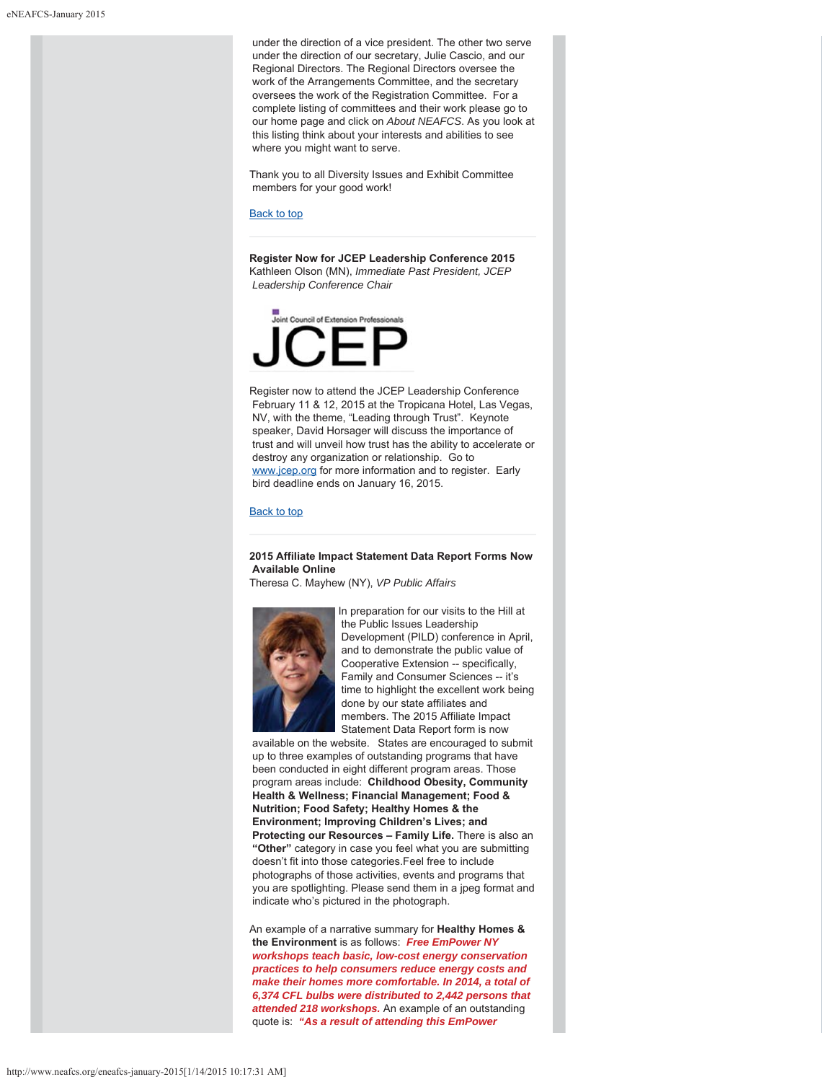under the direction of a vice president. The other two serve under the direction of our secretary, Julie Cascio, and our Regional Directors. The Regional Directors oversee the work of the Arrangements Committee, and the secretary oversees the work of the Registration Committee. For a complete listing of committees and their work please go to our home page and click on *About NEAFCS*. As you look at this listing think about your interests and abilities to see where you might want to serve.

Thank you to all Diversity Issues and Exhibit Committee members for your good work!

#### Back to top

**Register Now for JCEP Leadership Conference 2015** Kathleen Olson (MN), *Immediate Past President, JCEP Leadership Conference Chair*



Register now to attend the JCEP Leadership Conference February 11 & 12, 2015 at the Tropicana Hotel, Las Vegas, NV, with the theme, "Leading through Trust". Keynote speaker, David Horsager will discuss the importance of trust and will unveil how trust has the ability to accelerate or destroy any organization or relationship. Go to www.jcep.org for more information and to register. Early bird deadline ends on January 16, 2015.

#### Back to top

**2015 Affiliate Impact Statement Data Report Forms Now Available Online**

Theresa C. Mayhew (NY), *VP Public Affairs*



In preparation for our visits to the Hill at the Public Issues Leadership Development (PILD) conference in April, and to demonstrate the public value of Cooperative Extension -- specifically, Family and Consumer Sciences -- it's time to highlight the excellent work being done by our state affiliates and members. The 2015 Affiliate Impact Statement Data Report form is now

 available on the website. States are encouraged to submit up to three examples of outstanding programs that have been conducted in eight different program areas. Those program areas include: **Childhood Obesity, Community Health & Wellness; Financial Management; Food & Nutrition; Food Safety; Healthy Homes & the Environment; Improving Children's Lives; and Protecting our Resources – Family Life.** There is also an **"Other"** category in case you feel what you are submitting doesn't fit into those categories.Feel free to include photographs of those activities, events and programs that you are spotlighting. Please send them in a jpeg format and indicate who's pictured in the photograph.

An example of a narrative summary for **Healthy Homes & the Environment** is as follows: *Free EmPower NY workshops teach basic, low-cost energy conservation practices to help consumers reduce energy costs and make their homes more comfortable. In 2014, a total of 6,374 CFL bulbs were distributed to 2,442 persons that attended 218 workshops.* An example of an outstanding quote is: *"As a result of attending this EmPower*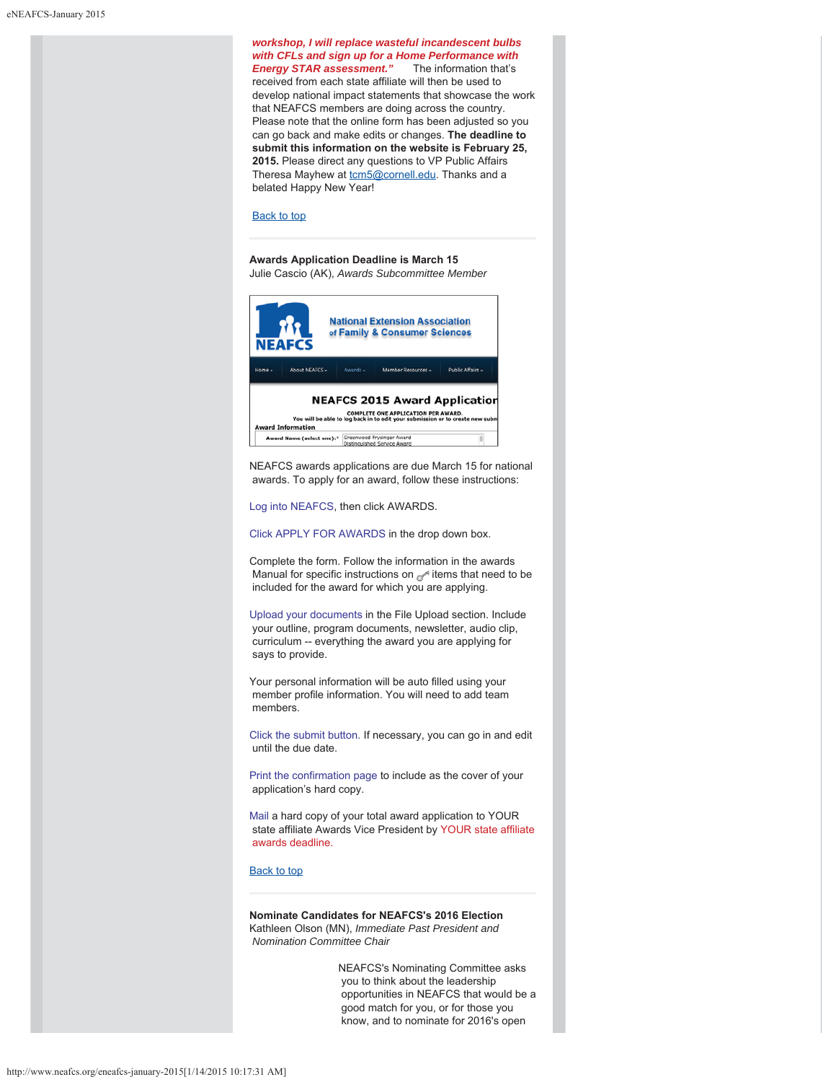*workshop, I will replace wasteful incandescent bulbs with CFLs and sign up for a Home Performance with* **Energy STAR assessment."** The information that's received from each state affiliate will then be used to develop national impact statements that showcase the work that NEAFCS members are doing across the country. Please note that the online form has been adjusted so you can go back and make edits or changes. **The deadline to submit this information on the website is February 25, 2015.** Please direct any questions to VP Public Affairs Theresa Mayhew at tcm5@cornell.edu. Thanks and a belated Happy New Year!

#### Back to top

**Awards Application Deadline is March 15** Julie Cascio (AK), *Awards Subcommittee Member*



NEAFCS awards applications are due March 15 for national awards. To apply for an award, follow these instructions:

Log into NEAFCS, then click AWARDS.

Click APPLY FOR AWARDS in the drop down box.

Complete the form. Follow the information in the awards Manual for specific instructions on  $\mathbb{R}^d$  items that need to be included for the award for which you are applying.

Upload your documents in the File Upload section. Include your outline, program documents, newsletter, audio clip, curriculum -- everything the award you are applying for says to provide.

Your personal information will be auto filled using your member profile information. You will need to add team members.

Click the submit button. If necessary, you can go in and edit until the due date.

Print the confirmation page to include as the cover of your application's hard copy.

Mail a hard copy of your total award application to YOUR state affiliate Awards Vice President by YOUR state affiliate awards deadline.

# Back to top

**Nominate Candidates for NEAFCS's 2016 Election** Kathleen Olson (MN), *Immediate Past President and Nomination Committee Chair*

> NEAFCS's Nominating Committee asks you to think about the leadership opportunities in NEAFCS that would be a good match for you, or for those you know, and to nominate for 2016's open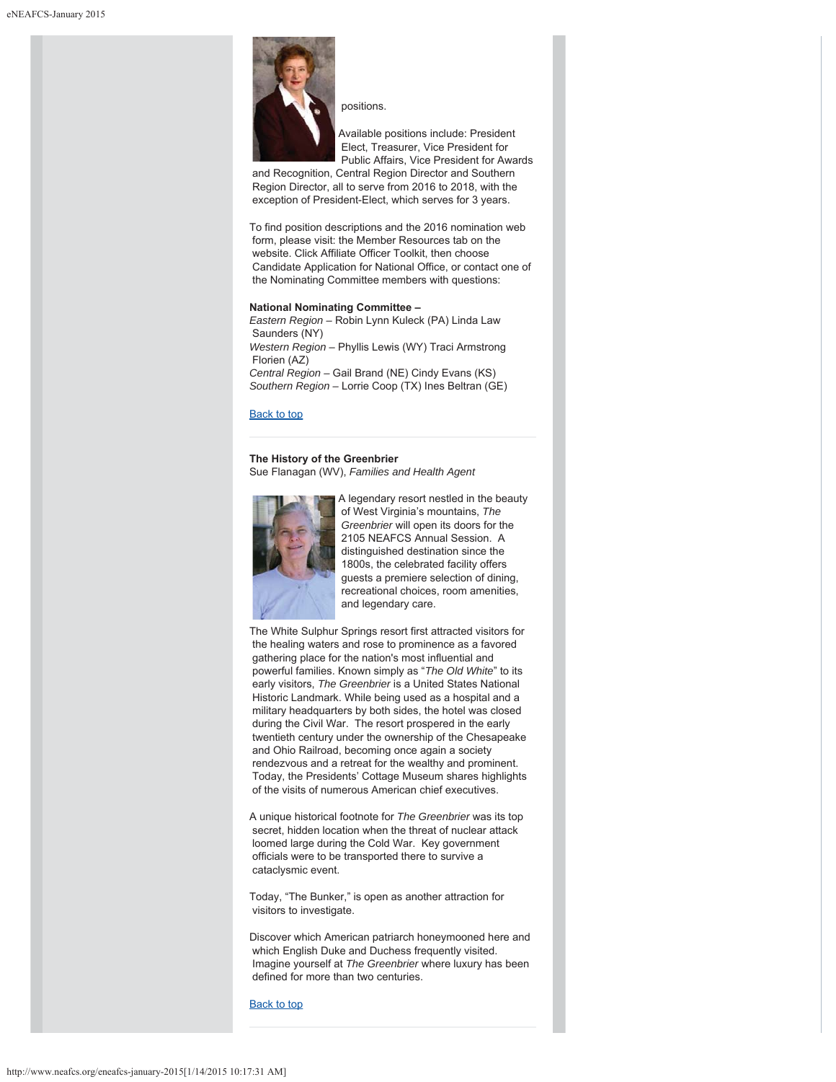

positions.

Available positions include: President Elect, Treasurer, Vice President for Public Affairs, Vice President for Awards

 and Recognition, Central Region Director and Southern Region Director, all to serve from 2016 to 2018, with the exception of President-Elect, which serves for 3 years.

To find position descriptions and the 2016 nomination web form, please visit: the Member Resources tab on the website. Click Affiliate Officer Toolkit, then choose Candidate Application for National Office, or contact one of the Nominating Committee members with questions:

# **National Nominating Committee –**

*Eastern Region –* Robin Lynn Kuleck (PA) Linda Law Saunders (NY) *Western Region* – Phyllis Lewis (WY) Traci Armstrong Florien (AZ) *Central Region –* Gail Brand (NE) Cindy Evans (KS) *Southern Region –* Lorrie Coop (TX) Ines Beltran (GE)

#### Back to top

# **The History of the Greenbrier**

Sue Flanagan (WV), *Families and Health Agent*



A legendary resort nestled in the beauty of West Virginia's mountains, *The Greenbrier* will open its doors for the 2105 NEAFCS Annual Session. A distinguished destination since the 1800s, the celebrated facility offers guests a premiere selection of dining, recreational choices, room amenities, and legendary care.

The White Sulphur Springs resort first attracted visitors for the healing waters and rose to prominence as a favored gathering place for the nation's most influential and powerful families. Known simply as "*The Old White*" to its early visitors, *The Greenbrier* is a United States National Historic Landmark. While being used as a hospital and a military headquarters by both sides, the hotel was closed during the Civil War. The resort prospered in the early twentieth century under the ownership of the Chesapeake and Ohio Railroad, becoming once again a society rendezvous and a retreat for the wealthy and prominent. Today, the Presidents' Cottage Museum shares highlights of the visits of numerous American chief executives.

A unique historical footnote for *The Greenbrier* was its top secret, hidden location when the threat of nuclear attack loomed large during the Cold War. Key government officials were to be transported there to survive a cataclysmic event.

Today, "The Bunker," is open as another attraction for visitors to investigate.

Discover which American patriarch honeymooned here and which English Duke and Duchess frequently visited. Imagine yourself at *The Greenbrier* where luxury has been defined for more than two centuries.

Back to top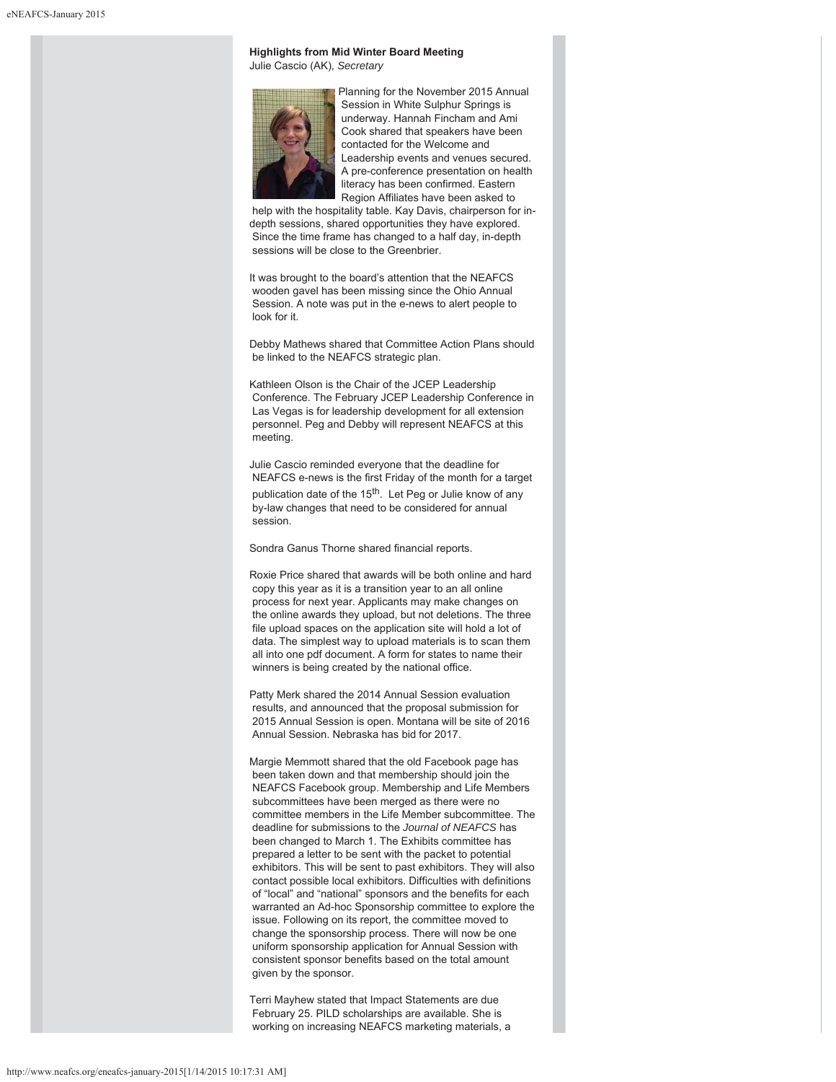# **Highlights from Mid Winter Board Meeting** Julie Cascio (AK), *Secretary*



Planning for the November 2015 Annual Session in White Sulphur Springs is underway. Hannah Fincham and Ami Cook shared that speakers have been contacted for the Welcome and Leadership events and venues secured. A pre-conference presentation on health literacy has been confirmed. Eastern Region Affiliates have been asked to

 help with the hospitality table. Kay Davis, chairperson for indepth sessions, shared opportunities they have explored. Since the time frame has changed to a half day, in-depth sessions will be close to the Greenbrier.

It was brought to the board's attention that the NEAFCS wooden gavel has been missing since the Ohio Annual Session. A note was put in the e-news to alert people to look for it.

Debby Mathews shared that Committee Action Plans should be linked to the NEAFCS strategic plan.

Kathleen Olson is the Chair of the JCEP Leadership Conference. The February JCEP Leadership Conference in Las Vegas is for leadership development for all extension personnel. Peg and Debby will represent NEAFCS at this meeting.

Julie Cascio reminded everyone that the deadline for NEAFCS e-news is the first Friday of the month for a target publication date of the 15<sup>th</sup>. Let Peg or Julie know of any by-law changes that need to be considered for annual session.

Sondra Ganus Thorne shared financial reports.

Roxie Price shared that awards will be both online and hard copy this year as it is a transition year to an all online process for next year. Applicants may make changes on the online awards they upload, but not deletions. The three file upload spaces on the application site will hold a lot of data. The simplest way to upload materials is to scan them all into one pdf document. A form for states to name their winners is being created by the national office.

Patty Merk shared the 2014 Annual Session evaluation results, and announced that the proposal submission for 2015 Annual Session is open. Montana will be site of 2016 Annual Session. Nebraska has bid for 2017.

Margie Memmott shared that the old Facebook page has been taken down and that membership should join the NEAFCS Facebook group. Membership and Life Members subcommittees have been merged as there were no committee members in the Life Member subcommittee. The deadline for submissions to the *Journal of NEAFCS* has been changed to March 1. The Exhibits committee has prepared a letter to be sent with the packet to potential exhibitors. This will be sent to past exhibitors. They will also contact possible local exhibitors. Difficulties with definitions of "local" and "national" sponsors and the benefits for each warranted an Ad-hoc Sponsorship committee to explore the issue. Following on its report, the committee moved to change the sponsorship process. There will now be one uniform sponsorship application for Annual Session with consistent sponsor benefits based on the total amount given by the sponsor.

Terri Mayhew stated that Impact Statements are due February 25. PILD scholarships are available. She is working on increasing NEAFCS marketing materials, a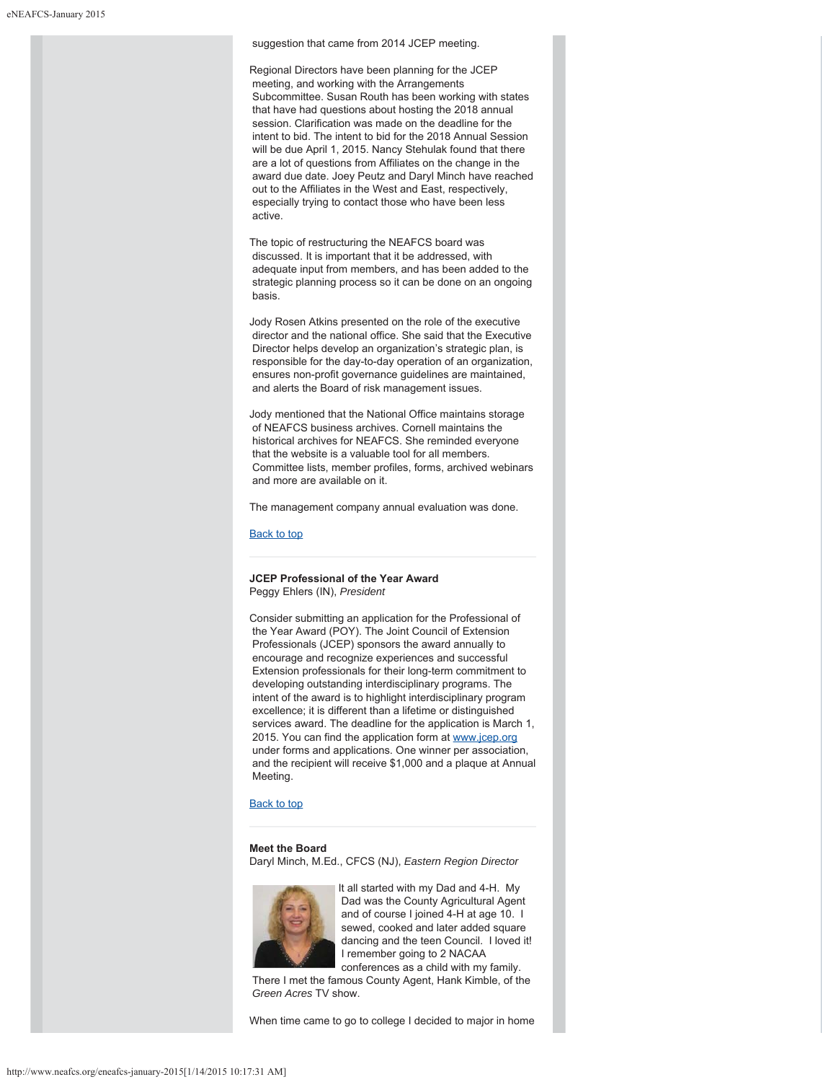#### suggestion that came from 2014 JCEP meeting.

Regional Directors have been planning for the JCEP meeting, and working with the Arrangements Subcommittee. Susan Routh has been working with states that have had questions about hosting the 2018 annual session. Clarification was made on the deadline for the intent to bid. The intent to bid for the 2018 Annual Session will be due April 1, 2015. Nancy Stehulak found that there are a lot of questions from Affiliates on the change in the award due date. Joey Peutz and Daryl Minch have reached out to the Affiliates in the West and East, respectively, especially trying to contact those who have been less active.

The topic of restructuring the NEAFCS board was discussed. It is important that it be addressed, with adequate input from members, and has been added to the strategic planning process so it can be done on an ongoing basis.

Jody Rosen Atkins presented on the role of the executive director and the national office. She said that the Executive Director helps develop an organization's strategic plan, is responsible for the day-to-day operation of an organization, ensures non-profit governance guidelines are maintained, and alerts the Board of risk management issues.

Jody mentioned that the National Office maintains storage of NEAFCS business archives. Cornell maintains the historical archives for NEAFCS. She reminded everyone that the website is a valuable tool for all members. Committee lists, member profiles, forms, archived webinars and more are available on it.

The management company annual evaluation was done.

Back to top

# **JCEP Professional of the Year Award** Peggy Ehlers (IN), *President*

Consider submitting an application for the Professional of the Year Award (POY). The Joint Council of Extension Professionals (JCEP) sponsors the award annually to encourage and recognize experiences and successful Extension professionals for their long-term commitment to developing outstanding interdisciplinary programs. The intent of the award is to highlight interdisciplinary program excellence; it is different than a lifetime or distinguished services award. The deadline for the application is March 1, 2015. You can find the application form at www.jcep.org under forms and applications. One winner per association, and the recipient will receive \$1,000 and a plaque at Annual Meeting.

# Back to top

# **Meet the Board**

Daryl Minch, M.Ed., CFCS (NJ), *Eastern Region Director*



It all started with my Dad and 4-H. My Dad was the County Agricultural Agent and of course I joined 4-H at age 10. I sewed, cooked and later added square dancing and the teen Council. I loved it! I remember going to 2 NACAA conferences as a child with my family.

 There I met the famous County Agent, Hank Kimble, of the *Green Acres* TV show.

When time came to go to college I decided to major in home